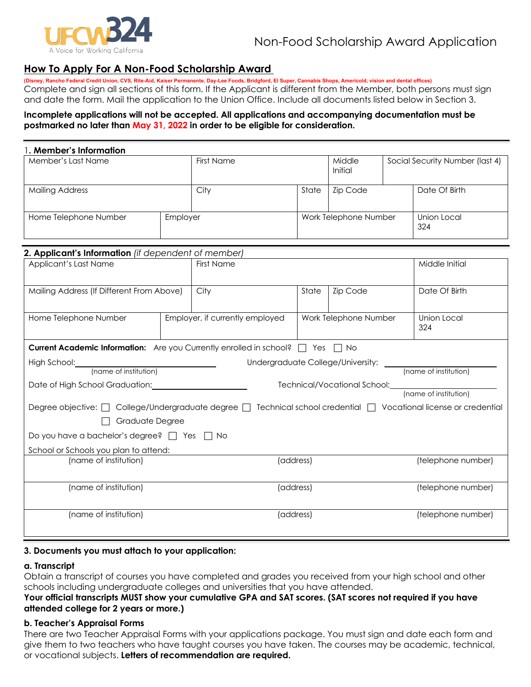

## **How To Apply For A Non-Food Scholarship Award**

**(Disney, Rancho Federal Credit Union, CVS, Rite-Aid, Kaiser Permanente, Day-Lee Foods, Bridgford, El Super, Cannabis Shops, Americold, vision and dental offices)**  Complete and sign all sections of this form. If the Applicant is different from the Member, both persons must sign and date the form. Mail the application to the Union Office. Include all documents listed below in Section 3.

## **Incomplete applications will not be accepted. All applications and accompanying documentation must be postmarked no later than May 31, 2022 in order to be eligible for consideration.**

| . Member's Information |          |            |                       |                   |  |                                 |  |  |
|------------------------|----------|------------|-----------------------|-------------------|--|---------------------------------|--|--|
| Member's Last Name     |          | First Name |                       | Middle<br>Initial |  | Social Security Number (last 4) |  |  |
| <b>Mailing Address</b> |          | City       | State                 | <b>Zip Code</b>   |  | Date Of Birth                   |  |  |
| Home Telephone Number  | Employer |            | Work Telephone Number |                   |  | Union Local<br>324              |  |  |

| 2. Applicant's Information (if dependent of member)                                                                   |                                 |                                                            |                    |                    |               |
|-----------------------------------------------------------------------------------------------------------------------|---------------------------------|------------------------------------------------------------|--------------------|--------------------|---------------|
| Applicant's Last Name                                                                                                 |                                 | <b>First Name</b>                                          | Middle Initial     |                    |               |
| Mailing Address (If Different From Above)                                                                             |                                 | City                                                       | State              | Zip Code           | Date Of Birth |
| Home Telephone Number                                                                                                 | Employer, if currently employed | Work Telephone Number                                      | Union Local<br>324 |                    |               |
| <b>Current Academic Information:</b> Are you Currently enrolled in school? $\Box$ Yes $\Box$ No                       |                                 |                                                            |                    |                    |               |
| High School: (name of institution)                                                                                    |                                 |                                                            |                    |                    |               |
| Date of High School Graduation:                                                                                       |                                 | Technical/Vocational School: 1997<br>(name of institution) |                    |                    |               |
| Degree objective: [ College/Undergraduate degree [ ] Technical school credential [ ] Vocational license or credential |                                 |                                                            |                    |                    |               |
| Graduate Degree                                                                                                       |                                 |                                                            |                    |                    |               |
| Do you have a bachelor's degree? $\Box$ Yes $\Box$ No                                                                 |                                 |                                                            |                    |                    |               |
| School or Schools you plan to attend:                                                                                 |                                 |                                                            |                    |                    |               |
| (name of institution)                                                                                                 |                                 |                                                            | (address)          | (telephone number) |               |
| (name of institution)                                                                                                 |                                 | (address)                                                  | (telephone number) |                    |               |
| (name of institution)                                                                                                 |                                 | (address)                                                  | (telephone number) |                    |               |

### **3. Documents you must attach to your application:**

#### **a. Transcript**

Obtain a transcript of courses you have completed and grades you received from your high school and other schools including undergraduate colleges and universities that you have attended.

## **Your official transcripts MUST show your cumulative GPA and SAT scores. (SAT scores not required if you have attended college for 2 years or more.)**

#### **b. Teacher's Appraisal Forms**

There are two Teacher Appraisal Forms with your applications package. You must sign and date each form and give them to two teachers who have taught courses you have taken. The courses may be academic, technical, or vocational subjects. **Letters of recommendation are required.**